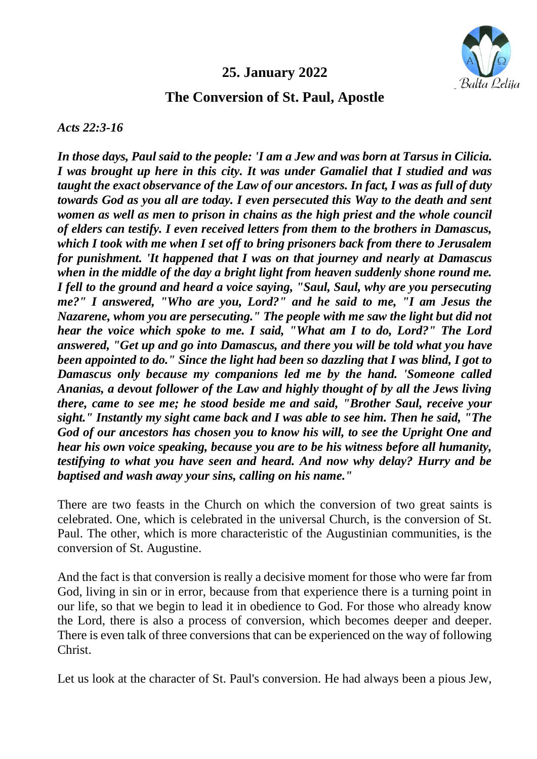## **25. January 2022**



## **The Conversion of St. Paul, Apostle**

*Acts 22:3-16*

*In those days, Paul said to the people: 'I am a Jew and was born at Tarsus in Cilicia. I was brought up here in this city. It was under Gamaliel that I studied and was taught the exact observance of the Law of our ancestors. In fact, I was as full of duty towards God as you all are today. I even persecuted this Way to the death and sent women as well as men to prison in chains as the high priest and the whole council of elders can testify. I even received letters from them to the brothers in Damascus, which I took with me when I set off to bring prisoners back from there to Jerusalem for punishment. 'It happened that I was on that journey and nearly at Damascus when in the middle of the day a bright light from heaven suddenly shone round me. I fell to the ground and heard a voice saying, "Saul, Saul, why are you persecuting me?" I answered, "Who are you, Lord?" and he said to me, "I am Jesus the Nazarene, whom you are persecuting." The people with me saw the light but did not hear the voice which spoke to me. I said, "What am I to do, Lord?" The Lord answered, "Get up and go into Damascus, and there you will be told what you have been appointed to do." Since the light had been so dazzling that I was blind, I got to Damascus only because my companions led me by the hand. 'Someone called Ananias, a devout follower of the Law and highly thought of by all the Jews living there, came to see me; he stood beside me and said, "Brother Saul, receive your sight." Instantly my sight came back and I was able to see him. Then he said, "The God of our ancestors has chosen you to know his will, to see the Upright One and hear his own voice speaking, because you are to be his witness before all humanity, testifying to what you have seen and heard. And now why delay? Hurry and be baptised and wash away your sins, calling on his name."*

There are two feasts in the Church on which the conversion of two great saints is celebrated. One, which is celebrated in the universal Church, is the conversion of St. Paul. The other, which is more characteristic of the Augustinian communities, is the conversion of St. Augustine.

And the fact is that conversion is really a decisive moment for those who were far from God, living in sin or in error, because from that experience there is a turning point in our life, so that we begin to lead it in obedience to God. For those who already know the Lord, there is also a process of conversion, which becomes deeper and deeper. There is even talk of three conversions that can be experienced on the way of following Christ.

Let us look at the character of St. Paul's conversion. He had always been a pious Jew,